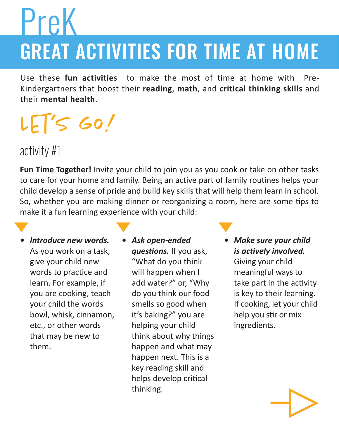# GREAT ACTIVITIES FOR TIME AT HOME PreK

Use these **fun activities** to make the most of time at home with Pre-Kindergartners that boost their **reading**, **math**, and **critical thinking skills** and their **mental health**.

## $LETS$  GO!

activity #1

**Fun Time Together!** Invite your child to join you as you cook or take on other tasks to care for your home and family. Being an active part of family routines helps your child develop a sense of pride and build key skills that will help them learn in school. So, whether you are making dinner or reorganizing a room, here are some tips to make it a fun learning experience with your child:

- *• Introduce new words.*  As you work on a task, give your child new words to practice and learn. For example, if you are cooking, teach your child the words bowl, whisk, cinnamon, etc., or other words that may be new to them.
- *• Ask open-ended questions.* If you ask, "What do you think will happen when I add water?" or, "Why do you think our food smells so good when it's baking?" you are helping your child think about why things happen and what may happen next. This is a key reading skill and helps develop critical thinking.
- *• Make sure your child is actively involved.*

Giving your child meaningful ways to take part in the activity is key to their learning. If cooking, let your child help you stir or mix ingredients.

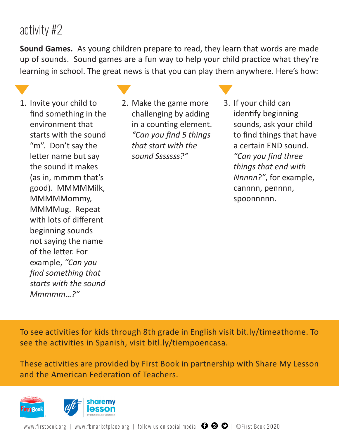#### activity #2

**Sound Games.** As young children prepare to read, they learn that words are made up of sounds. Sound games are a fun way to help your child practice what they're learning in school. The great news is that you can play them anywhere. Here's how:

- 1. Invite your child to find something in the environment that starts with the sound "m". Don't say the letter name but say the sound it makes (as in, mmmm that's good). MMMMMilk, MMMMMommy, MMMMug. Repeat with lots of different beginning sounds not saying the name of the letter. For example, *"Can you find something that starts with the sound Mmmmm…?"*
- 2. Make the game more challenging by adding in a counting element. *"Can you find 5 things that start with the sound Sssssss?"*
- 3. If your child can identify beginning sounds, ask your child to find things that have a certain END sound. *"Can you find three things that end with Nnnnn?"*, for example, cannnn, pennnn, spoonnnnn.

To see activities for kids through 8th grade in English visit bit.ly/timeathome. To see the activities in Spanish, visit bitl.ly/tiempoencasa.

These activities are provided by First Book in partnership with Share My Lesson and the American Federation of Teachers.

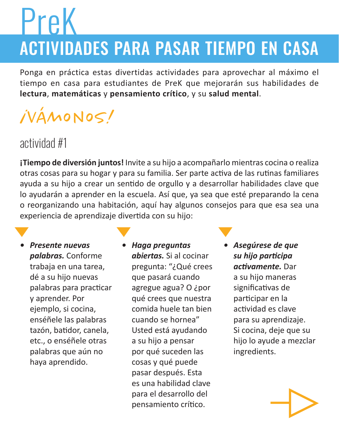# PreK

## ACTIVIDADES PARA PASAR TIEMPO EN CASA

Ponga en práctica estas divertidas actividades para aprovechar al máximo el tiempo en casa para estudiantes de PreK que mejorarán sus habilidades de **lectura**, **matemáticas** y **pensamiento crítico**, y su **salud mental**.

## ¡Vámonos!

### actividad #1

**¡Tiempo de diversión juntos!** Invite a su hijo a acompañarlo mientras cocina o realiza otras cosas para su hogar y para su familia. Ser parte activa de las rutinas familiares ayuda a su hijo a crear un sentido de orgullo y a desarrollar habilidades clave que lo ayudarán a aprender en la escuela. Así que, ya sea que esté preparando la cena o reorganizando una habitación, aquí hay algunos consejos para que esa sea una experiencia de aprendizaje divertida con su hijo:

*• Presente nuevas palabras.* Conforme trabaja en una tarea, dé a su hijo nuevas palabras para practicar y aprender. Por ejemplo, si cocina, enséñele las palabras tazón, batidor, canela, etc., o enséñele otras palabras que aún no haya aprendido.

*• Haga preguntas abiertas.* Si al cocinar pregunta: "¿Qué crees que pasará cuando agregue agua? O ¿por qué crees que nuestra comida huele tan bien cuando se hornea" Usted está ayudando a su hijo a pensar por qué suceden las cosas y qué puede pasar después. Esta es una habilidad clave para el desarrollo del pensamiento crítico.

*• Asegúrese de que su hijo participa activamente.* Dar a su hijo maneras significativas de participar en la actividad es clave para su aprendizaje. Si cocina, deje que su hijo lo ayude a mezclar ingredients.